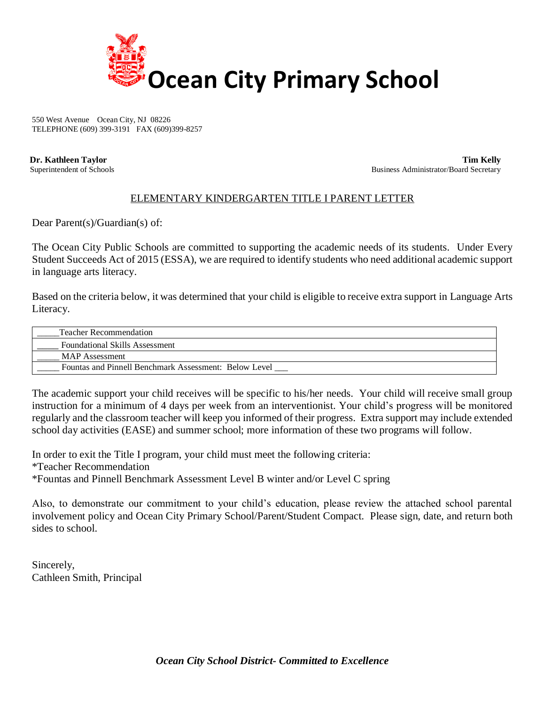

550 West Avenue Ocean City, NJ 08226 TELEPHONE (609) 399-3191 FAX (609)399-8257

 **Dr. Kathleen Taylor Tim Kelly** Superintendent of Schools Business Administrator/Board Secretary

## ELEMENTARY KINDERGARTEN TITLE I PARENT LETTER

Dear Parent(s)/Guardian(s) of:

The Ocean City Public Schools are committed to supporting the academic needs of its students. Under Every Student Succeeds Act of 2015 (ESSA), we are required to identify students who need additional academic support in language arts literacy.

Based on the criteria below, it was determined that your child is eligible to receive extra support in Language Arts Literacy.

| <b>Teacher Recommendation</b>                         |
|-------------------------------------------------------|
| <b>Foundational Skills Assessment</b>                 |
| MAP Assessment                                        |
| Fountas and Pinnell Benchmark Assessment: Below Level |

The academic support your child receives will be specific to his/her needs. Your child will receive small group instruction for a minimum of 4 days per week from an interventionist. Your child's progress will be monitored regularly and the classroom teacher will keep you informed of their progress. Extra support may include extended school day activities (EASE) and summer school; more information of these two programs will follow.

In order to exit the Title I program, your child must meet the following criteria: \*Teacher Recommendation \*Fountas and Pinnell Benchmark Assessment Level B winter and/or Level C spring

Also, to demonstrate our commitment to your child's education, please review the attached school parental involvement policy and Ocean City Primary School/Parent/Student Compact. Please sign, date, and return both sides to school.

Sincerely, Cathleen Smith, Principal